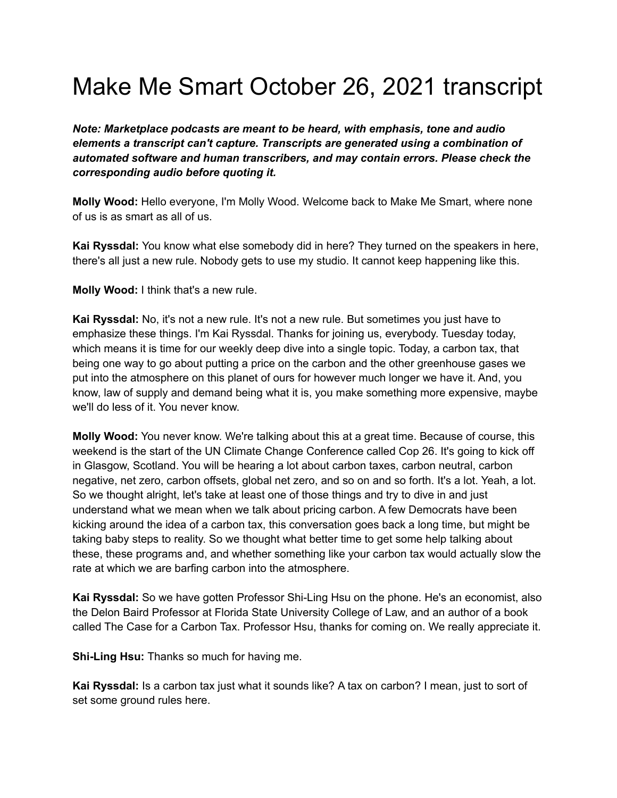## Make Me Smart October 26, 2021 transcript

*Note: Marketplace podcasts are meant to be heard, with emphasis, tone and audio elements a transcript can't capture. Transcripts are generated using a combination of automated software and human transcribers, and may contain errors. Please check the corresponding audio before quoting it.*

**Molly Wood:** Hello everyone, I'm Molly Wood. Welcome back to Make Me Smart, where none of us is as smart as all of us.

**Kai Ryssdal:** You know what else somebody did in here? They turned on the speakers in here, there's all just a new rule. Nobody gets to use my studio. It cannot keep happening like this.

**Molly Wood:** I think that's a new rule.

**Kai Ryssdal:** No, it's not a new rule. It's not a new rule. But sometimes you just have to emphasize these things. I'm Kai Ryssdal. Thanks for joining us, everybody. Tuesday today, which means it is time for our weekly deep dive into a single topic. Today, a carbon tax, that being one way to go about putting a price on the carbon and the other greenhouse gases we put into the atmosphere on this planet of ours for however much longer we have it. And, you know, law of supply and demand being what it is, you make something more expensive, maybe we'll do less of it. You never know.

**Molly Wood:** You never know. We're talking about this at a great time. Because of course, this weekend is the start of the UN Climate Change Conference called Cop 26. It's going to kick off in Glasgow, Scotland. You will be hearing a lot about carbon taxes, carbon neutral, carbon negative, net zero, carbon offsets, global net zero, and so on and so forth. It's a lot. Yeah, a lot. So we thought alright, let's take at least one of those things and try to dive in and just understand what we mean when we talk about pricing carbon. A few Democrats have been kicking around the idea of a carbon tax, this conversation goes back a long time, but might be taking baby steps to reality. So we thought what better time to get some help talking about these, these programs and, and whether something like your carbon tax would actually slow the rate at which we are barfing carbon into the atmosphere.

**Kai Ryssdal:** So we have gotten Professor Shi-Ling Hsu on the phone. He's an economist, also the Delon Baird Professor at Florida State University College of Law, and an author of a book called The Case for a Carbon Tax. Professor Hsu, thanks for coming on. We really appreciate it.

**Shi-Ling Hsu:** Thanks so much for having me.

**Kai Ryssdal:** Is a carbon tax just what it sounds like? A tax on carbon? I mean, just to sort of set some ground rules here.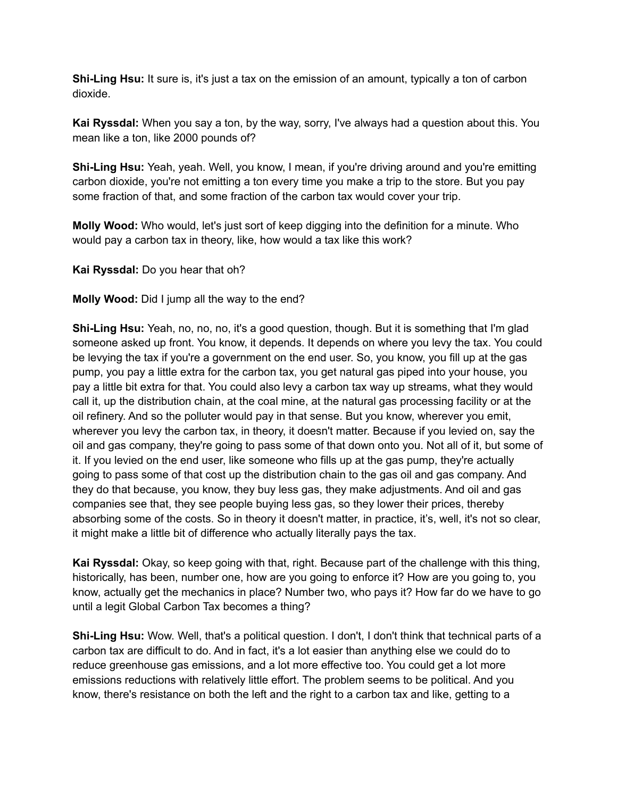**Shi-Ling Hsu:** It sure is, it's just a tax on the emission of an amount, typically a ton of carbon dioxide.

**Kai Ryssdal:** When you say a ton, by the way, sorry, I've always had a question about this. You mean like a ton, like 2000 pounds of?

**Shi-Ling Hsu:** Yeah, yeah. Well, you know, I mean, if you're driving around and you're emitting carbon dioxide, you're not emitting a ton every time you make a trip to the store. But you pay some fraction of that, and some fraction of the carbon tax would cover your trip.

**Molly Wood:** Who would, let's just sort of keep digging into the definition for a minute. Who would pay a carbon tax in theory, like, how would a tax like this work?

**Kai Ryssdal:** Do you hear that oh?

**Molly Wood:** Did I jump all the way to the end?

**Shi-Ling Hsu:** Yeah, no, no, no, it's a good question, though. But it is something that I'm glad someone asked up front. You know, it depends. It depends on where you levy the tax. You could be levying the tax if you're a government on the end user. So, you know, you fill up at the gas pump, you pay a little extra for the carbon tax, you get natural gas piped into your house, you pay a little bit extra for that. You could also levy a carbon tax way up streams, what they would call it, up the distribution chain, at the coal mine, at the natural gas processing facility or at the oil refinery. And so the polluter would pay in that sense. But you know, wherever you emit, wherever you levy the carbon tax, in theory, it doesn't matter. Because if you levied on, say the oil and gas company, they're going to pass some of that down onto you. Not all of it, but some of it. If you levied on the end user, like someone who fills up at the gas pump, they're actually going to pass some of that cost up the distribution chain to the gas oil and gas company. And they do that because, you know, they buy less gas, they make adjustments. And oil and gas companies see that, they see people buying less gas, so they lower their prices, thereby absorbing some of the costs. So in theory it doesn't matter, in practice, it's, well, it's not so clear, it might make a little bit of difference who actually literally pays the tax.

**Kai Ryssdal:** Okay, so keep going with that, right. Because part of the challenge with this thing, historically, has been, number one, how are you going to enforce it? How are you going to, you know, actually get the mechanics in place? Number two, who pays it? How far do we have to go until a legit Global Carbon Tax becomes a thing?

**Shi-Ling Hsu:** Wow. Well, that's a political question. I don't, I don't think that technical parts of a carbon tax are difficult to do. And in fact, it's a lot easier than anything else we could do to reduce greenhouse gas emissions, and a lot more effective too. You could get a lot more emissions reductions with relatively little effort. The problem seems to be political. And you know, there's resistance on both the left and the right to a carbon tax and like, getting to a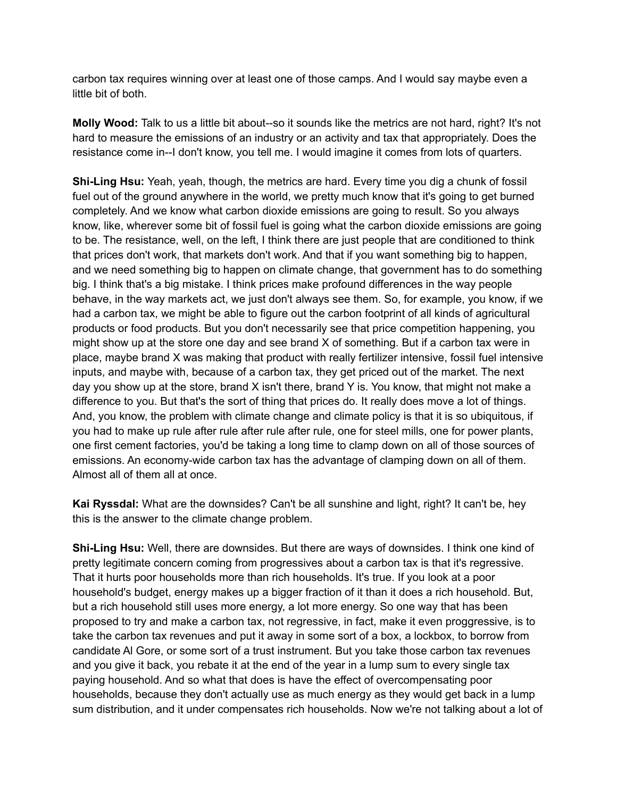carbon tax requires winning over at least one of those camps. And I would say maybe even a little bit of both.

**Molly Wood:** Talk to us a little bit about--so it sounds like the metrics are not hard, right? It's not hard to measure the emissions of an industry or an activity and tax that appropriately. Does the resistance come in--I don't know, you tell me. I would imagine it comes from lots of quarters.

**Shi-Ling Hsu:** Yeah, yeah, though, the metrics are hard. Every time you dig a chunk of fossil fuel out of the ground anywhere in the world, we pretty much know that it's going to get burned completely. And we know what carbon dioxide emissions are going to result. So you always know, like, wherever some bit of fossil fuel is going what the carbon dioxide emissions are going to be. The resistance, well, on the left, I think there are just people that are conditioned to think that prices don't work, that markets don't work. And that if you want something big to happen, and we need something big to happen on climate change, that government has to do something big. I think that's a big mistake. I think prices make profound differences in the way people behave, in the way markets act, we just don't always see them. So, for example, you know, if we had a carbon tax, we might be able to figure out the carbon footprint of all kinds of agricultural products or food products. But you don't necessarily see that price competition happening, you might show up at the store one day and see brand X of something. But if a carbon tax were in place, maybe brand X was making that product with really fertilizer intensive, fossil fuel intensive inputs, and maybe with, because of a carbon tax, they get priced out of the market. The next day you show up at the store, brand X isn't there, brand Y is. You know, that might not make a difference to you. But that's the sort of thing that prices do. It really does move a lot of things. And, you know, the problem with climate change and climate policy is that it is so ubiquitous, if you had to make up rule after rule after rule after rule, one for steel mills, one for power plants, one first cement factories, you'd be taking a long time to clamp down on all of those sources of emissions. An economy-wide carbon tax has the advantage of clamping down on all of them. Almost all of them all at once.

**Kai Ryssdal:** What are the downsides? Can't be all sunshine and light, right? It can't be, hey this is the answer to the climate change problem.

**Shi-Ling Hsu:** Well, there are downsides. But there are ways of downsides. I think one kind of pretty legitimate concern coming from progressives about a carbon tax is that it's regressive. That it hurts poor households more than rich households. It's true. If you look at a poor household's budget, energy makes up a bigger fraction of it than it does a rich household. But, but a rich household still uses more energy, a lot more energy. So one way that has been proposed to try and make a carbon tax, not regressive, in fact, make it even proggressive, is to take the carbon tax revenues and put it away in some sort of a box, a lockbox, to borrow from candidate Al Gore, or some sort of a trust instrument. But you take those carbon tax revenues and you give it back, you rebate it at the end of the year in a lump sum to every single tax paying household. And so what that does is have the effect of overcompensating poor households, because they don't actually use as much energy as they would get back in a lump sum distribution, and it under compensates rich households. Now we're not talking about a lot of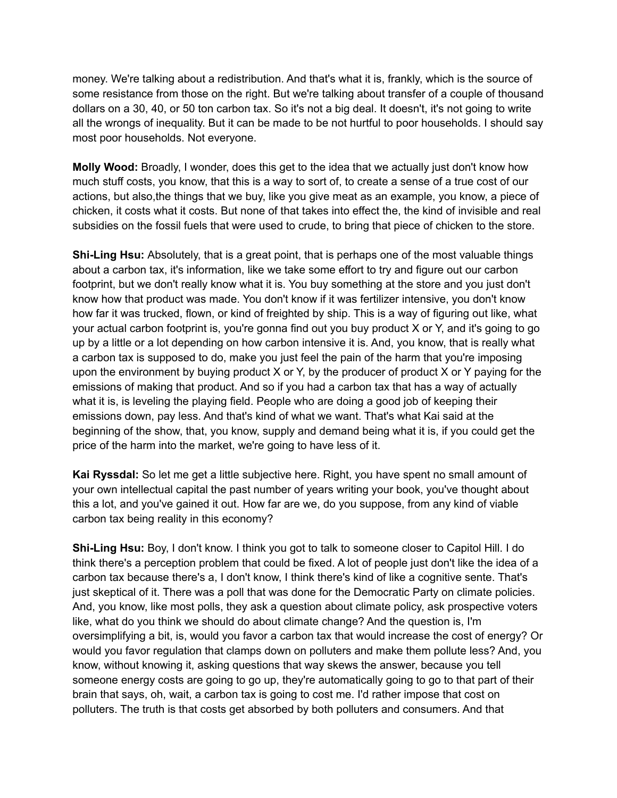money. We're talking about a redistribution. And that's what it is, frankly, which is the source of some resistance from those on the right. But we're talking about transfer of a couple of thousand dollars on a 30, 40, or 50 ton carbon tax. So it's not a big deal. It doesn't, it's not going to write all the wrongs of inequality. But it can be made to be not hurtful to poor households. I should say most poor households. Not everyone.

**Molly Wood:** Broadly, I wonder, does this get to the idea that we actually just don't know how much stuff costs, you know, that this is a way to sort of, to create a sense of a true cost of our actions, but also,the things that we buy, like you give meat as an example, you know, a piece of chicken, it costs what it costs. But none of that takes into effect the, the kind of invisible and real subsidies on the fossil fuels that were used to crude, to bring that piece of chicken to the store.

**Shi-Ling Hsu:** Absolutely, that is a great point, that is perhaps one of the most valuable things about a carbon tax, it's information, like we take some effort to try and figure out our carbon footprint, but we don't really know what it is. You buy something at the store and you just don't know how that product was made. You don't know if it was fertilizer intensive, you don't know how far it was trucked, flown, or kind of freighted by ship. This is a way of figuring out like, what your actual carbon footprint is, you're gonna find out you buy product X or Y, and it's going to go up by a little or a lot depending on how carbon intensive it is. And, you know, that is really what a carbon tax is supposed to do, make you just feel the pain of the harm that you're imposing upon the environment by buying product X or Y, by the producer of product X or Y paying for the emissions of making that product. And so if you had a carbon tax that has a way of actually what it is, is leveling the playing field. People who are doing a good job of keeping their emissions down, pay less. And that's kind of what we want. That's what Kai said at the beginning of the show, that, you know, supply and demand being what it is, if you could get the price of the harm into the market, we're going to have less of it.

**Kai Ryssdal:** So let me get a little subjective here. Right, you have spent no small amount of your own intellectual capital the past number of years writing your book, you've thought about this a lot, and you've gained it out. How far are we, do you suppose, from any kind of viable carbon tax being reality in this economy?

**Shi-Ling Hsu:** Boy, I don't know. I think you got to talk to someone closer to Capitol Hill. I do think there's a perception problem that could be fixed. A lot of people just don't like the idea of a carbon tax because there's a, I don't know, I think there's kind of like a cognitive sente. That's just skeptical of it. There was a poll that was done for the Democratic Party on climate policies. And, you know, like most polls, they ask a question about climate policy, ask prospective voters like, what do you think we should do about climate change? And the question is, I'm oversimplifying a bit, is, would you favor a carbon tax that would increase the cost of energy? Or would you favor regulation that clamps down on polluters and make them pollute less? And, you know, without knowing it, asking questions that way skews the answer, because you tell someone energy costs are going to go up, they're automatically going to go to that part of their brain that says, oh, wait, a carbon tax is going to cost me. I'd rather impose that cost on polluters. The truth is that costs get absorbed by both polluters and consumers. And that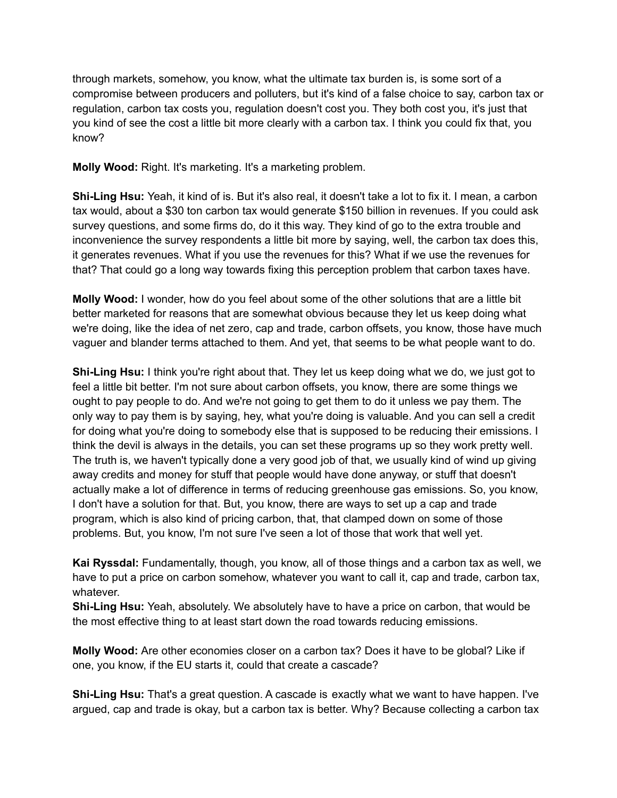through markets, somehow, you know, what the ultimate tax burden is, is some sort of a compromise between producers and polluters, but it's kind of a false choice to say, carbon tax or regulation, carbon tax costs you, regulation doesn't cost you. They both cost you, it's just that you kind of see the cost a little bit more clearly with a carbon tax. I think you could fix that, you know?

**Molly Wood:** Right. It's marketing. It's a marketing problem.

**Shi-Ling Hsu:** Yeah, it kind of is. But it's also real, it doesn't take a lot to fix it. I mean, a carbon tax would, about a \$30 ton carbon tax would generate \$150 billion in revenues. If you could ask survey questions, and some firms do, do it this way. They kind of go to the extra trouble and inconvenience the survey respondents a little bit more by saying, well, the carbon tax does this, it generates revenues. What if you use the revenues for this? What if we use the revenues for that? That could go a long way towards fixing this perception problem that carbon taxes have.

**Molly Wood:** I wonder, how do you feel about some of the other solutions that are a little bit better marketed for reasons that are somewhat obvious because they let us keep doing what we're doing, like the idea of net zero, cap and trade, carbon offsets, you know, those have much vaguer and blander terms attached to them. And yet, that seems to be what people want to do.

**Shi-Ling Hsu:** I think you're right about that. They let us keep doing what we do, we just got to feel a little bit better. I'm not sure about carbon offsets, you know, there are some things we ought to pay people to do. And we're not going to get them to do it unless we pay them. The only way to pay them is by saying, hey, what you're doing is valuable. And you can sell a credit for doing what you're doing to somebody else that is supposed to be reducing their emissions. I think the devil is always in the details, you can set these programs up so they work pretty well. The truth is, we haven't typically done a very good job of that, we usually kind of wind up giving away credits and money for stuff that people would have done anyway, or stuff that doesn't actually make a lot of difference in terms of reducing greenhouse gas emissions. So, you know, I don't have a solution for that. But, you know, there are ways to set up a cap and trade program, which is also kind of pricing carbon, that, that clamped down on some of those problems. But, you know, I'm not sure I've seen a lot of those that work that well yet.

**Kai Ryssdal:** Fundamentally, though, you know, all of those things and a carbon tax as well, we have to put a price on carbon somehow, whatever you want to call it, cap and trade, carbon tax, whatever.

**Shi-Ling Hsu:** Yeah, absolutely. We absolutely have to have a price on carbon, that would be the most effective thing to at least start down the road towards reducing emissions.

**Molly Wood:** Are other economies closer on a carbon tax? Does it have to be global? Like if one, you know, if the EU starts it, could that create a cascade?

**Shi-Ling Hsu:** That's a great question. A cascade is exactly what we want to have happen. I've argued, cap and trade is okay, but a carbon tax is better. Why? Because collecting a carbon tax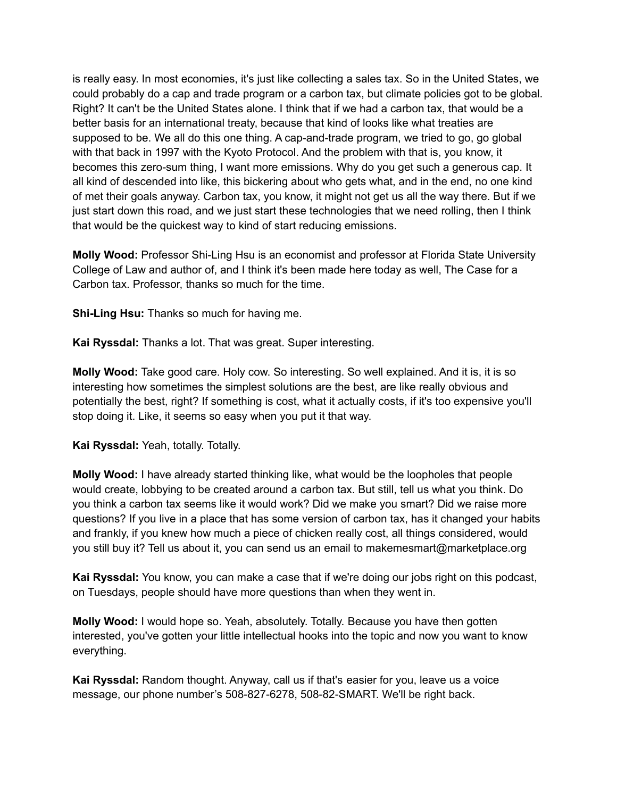is really easy. In most economies, it's just like collecting a sales tax. So in the United States, we could probably do a cap and trade program or a carbon tax, but climate policies got to be global. Right? It can't be the United States alone. I think that if we had a carbon tax, that would be a better basis for an international treaty, because that kind of looks like what treaties are supposed to be. We all do this one thing. A cap-and-trade program, we tried to go, go global with that back in 1997 with the Kyoto Protocol. And the problem with that is, you know, it becomes this zero-sum thing, I want more emissions. Why do you get such a generous cap. It all kind of descended into like, this bickering about who gets what, and in the end, no one kind of met their goals anyway. Carbon tax, you know, it might not get us all the way there. But if we just start down this road, and we just start these technologies that we need rolling, then I think that would be the quickest way to kind of start reducing emissions.

**Molly Wood:** Professor Shi-Ling Hsu is an economist and professor at Florida State University College of Law and author of, and I think it's been made here today as well, The Case for a Carbon tax. Professor, thanks so much for the time.

**Shi-Ling Hsu:** Thanks so much for having me.

**Kai Ryssdal:** Thanks a lot. That was great. Super interesting.

**Molly Wood:** Take good care. Holy cow. So interesting. So well explained. And it is, it is so interesting how sometimes the simplest solutions are the best, are like really obvious and potentially the best, right? If something is cost, what it actually costs, if it's too expensive you'll stop doing it. Like, it seems so easy when you put it that way.

**Kai Ryssdal:** Yeah, totally. Totally.

**Molly Wood:** I have already started thinking like, what would be the loopholes that people would create, lobbying to be created around a carbon tax. But still, tell us what you think. Do you think a carbon tax seems like it would work? Did we make you smart? Did we raise more questions? If you live in a place that has some version of carbon tax, has it changed your habits and frankly, if you knew how much a piece of chicken really cost, all things considered, would you still buy it? Tell us about it, you can send us an email to makemesmart@marketplace.org

**Kai Ryssdal:** You know, you can make a case that if we're doing our jobs right on this podcast, on Tuesdays, people should have more questions than when they went in.

**Molly Wood:** I would hope so. Yeah, absolutely. Totally. Because you have then gotten interested, you've gotten your little intellectual hooks into the topic and now you want to know everything.

**Kai Ryssdal:** Random thought. Anyway, call us if that's easier for you, leave us a voice message, our phone number's 508-827-6278, 508-82-SMART. We'll be right back.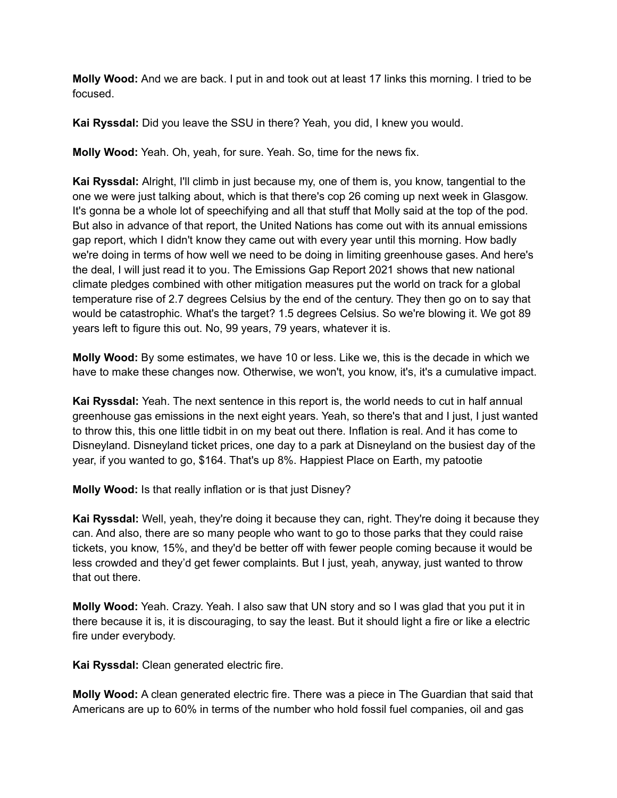**Molly Wood:** And we are back. I put in and took out at least 17 links this morning. I tried to be focused.

**Kai Ryssdal:** Did you leave the SSU in there? Yeah, you did, I knew you would.

**Molly Wood:** Yeah. Oh, yeah, for sure. Yeah. So, time for the news fix.

**Kai Ryssdal:** Alright, I'll climb in just because my, one of them is, you know, tangential to the one we were just talking about, which is that there's cop 26 coming up next week in Glasgow. It's gonna be a whole lot of speechifying and all that stuff that Molly said at the top of the pod. But also in advance of that report, the United Nations has come out with its annual emissions gap report, which I didn't know they came out with every year until this morning. How badly we're doing in terms of how well we need to be doing in limiting greenhouse gases. And here's the deal, I will just read it to you. The Emissions Gap Report 2021 shows that new national climate pledges combined with other mitigation measures put the world on track for a global temperature rise of 2.7 degrees Celsius by the end of the century. They then go on to say that would be catastrophic. What's the target? 1.5 degrees Celsius. So we're blowing it. We got 89 years left to figure this out. No, 99 years, 79 years, whatever it is.

**Molly Wood:** By some estimates, we have 10 or less. Like we, this is the decade in which we have to make these changes now. Otherwise, we won't, you know, it's, it's a cumulative impact.

**Kai Ryssdal:** Yeah. The next sentence in this report is, the world needs to cut in half annual greenhouse gas emissions in the next eight years. Yeah, so there's that and I just, I just wanted to throw this, this one little tidbit in on my beat out there. Inflation is real. And it has come to Disneyland. Disneyland ticket prices, one day to a park at Disneyland on the busiest day of the year, if you wanted to go, \$164. That's up 8%. Happiest Place on Earth, my patootie

**Molly Wood:** Is that really inflation or is that just Disney?

**Kai Ryssdal:** Well, yeah, they're doing it because they can, right. They're doing it because they can. And also, there are so many people who want to go to those parks that they could raise tickets, you know, 15%, and they'd be better off with fewer people coming because it would be less crowded and they'd get fewer complaints. But I just, yeah, anyway, just wanted to throw that out there.

**Molly Wood:** Yeah. Crazy. Yeah. I also saw that UN story and so I was glad that you put it in there because it is, it is discouraging, to say the least. But it should light a fire or like a electric fire under everybody.

**Kai Ryssdal:** Clean generated electric fire.

**Molly Wood:** A clean generated electric fire. There was a piece in The Guardian that said that Americans are up to 60% in terms of the number who hold fossil fuel companies, oil and gas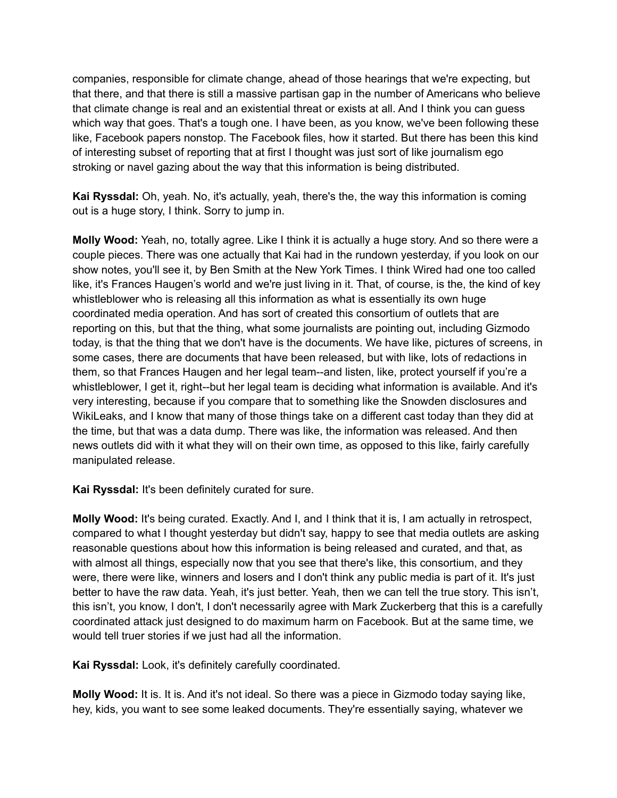companies, responsible for climate change, ahead of those hearings that we're expecting, but that there, and that there is still a massive partisan gap in the number of Americans who believe that climate change is real and an existential threat or exists at all. And I think you can guess which way that goes. That's a tough one. I have been, as you know, we've been following these like, Facebook papers nonstop. The Facebook files, how it started. But there has been this kind of interesting subset of reporting that at first I thought was just sort of like journalism ego stroking or navel gazing about the way that this information is being distributed.

**Kai Ryssdal:** Oh, yeah. No, it's actually, yeah, there's the, the way this information is coming out is a huge story, I think. Sorry to jump in.

**Molly Wood:** Yeah, no, totally agree. Like I think it is actually a huge story. And so there were a couple pieces. There was one actually that Kai had in the rundown yesterday, if you look on our show notes, you'll see it, by Ben Smith at the New York Times. I think Wired had one too called like, it's Frances Haugen's world and we're just living in it. That, of course, is the, the kind of key whistleblower who is releasing all this information as what is essentially its own huge coordinated media operation. And has sort of created this consortium of outlets that are reporting on this, but that the thing, what some journalists are pointing out, including Gizmodo today, is that the thing that we don't have is the documents. We have like, pictures of screens, in some cases, there are documents that have been released, but with like, lots of redactions in them, so that Frances Haugen and her legal team--and listen, like, protect yourself if you're a whistleblower, I get it, right--but her legal team is deciding what information is available. And it's very interesting, because if you compare that to something like the Snowden disclosures and WikiLeaks, and I know that many of those things take on a different cast today than they did at the time, but that was a data dump. There was like, the information was released. And then news outlets did with it what they will on their own time, as opposed to this like, fairly carefully manipulated release.

**Kai Ryssdal:** It's been definitely curated for sure.

**Molly Wood:** It's being curated. Exactly. And I, and I think that it is, I am actually in retrospect, compared to what I thought yesterday but didn't say, happy to see that media outlets are asking reasonable questions about how this information is being released and curated, and that, as with almost all things, especially now that you see that there's like, this consortium, and they were, there were like, winners and losers and I don't think any public media is part of it. It's just better to have the raw data. Yeah, it's just better. Yeah, then we can tell the true story. This isn't, this isn't, you know, I don't, I don't necessarily agree with Mark Zuckerberg that this is a carefully coordinated attack just designed to do maximum harm on Facebook. But at the same time, we would tell truer stories if we just had all the information.

**Kai Ryssdal:** Look, it's definitely carefully coordinated.

**Molly Wood:** It is. It is. And it's not ideal. So there was a piece in Gizmodo today saying like, hey, kids, you want to see some leaked documents. They're essentially saying, whatever we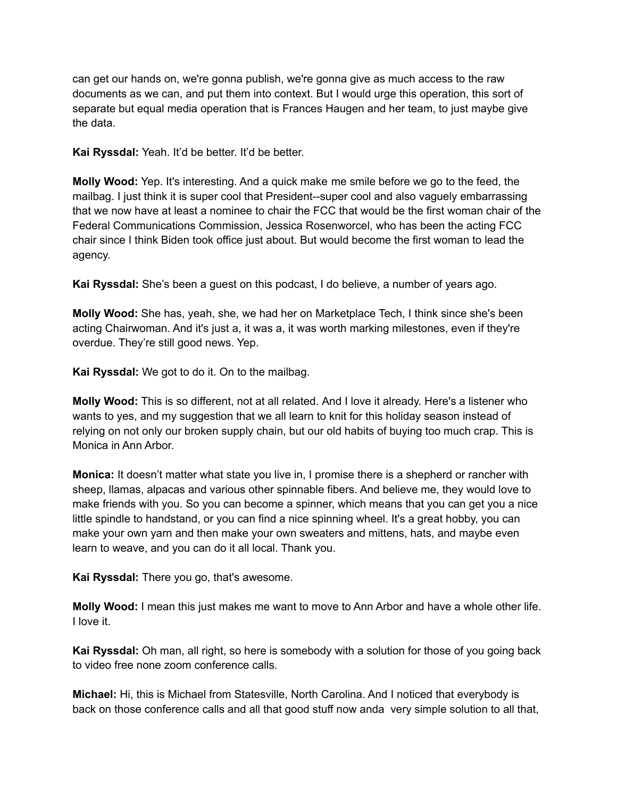can get our hands on, we're gonna publish, we're gonna give as much access to the raw documents as we can, and put them into context. But I would urge this operation, this sort of separate but equal media operation that is Frances Haugen and her team, to just maybe give the data.

**Kai Ryssdal:** Yeah. It'd be better. It'd be better.

**Molly Wood:** Yep. It's interesting. And a quick make me smile before we go to the feed, the mailbag. I just think it is super cool that President--super cool and also vaguely embarrassing that we now have at least a nominee to chair the FCC that would be the first woman chair of the Federal Communications Commission, Jessica Rosenworcel, who has been the acting FCC chair since I think Biden took office just about. But would become the first woman to lead the agency.

**Kai Ryssdal:** She's been a guest on this podcast, I do believe, a number of years ago.

**Molly Wood:** She has, yeah, she, we had her on Marketplace Tech, I think since she's been acting Chairwoman. And it's just a, it was a, it was worth marking milestones, even if they're overdue. They're still good news. Yep.

**Kai Ryssdal:** We got to do it. On to the mailbag.

**Molly Wood:** This is so different, not at all related. And I love it already. Here's a listener who wants to yes, and my suggestion that we all learn to knit for this holiday season instead of relying on not only our broken supply chain, but our old habits of buying too much crap. This is Monica in Ann Arbor.

**Monica:** It doesn't matter what state you live in, I promise there is a shepherd or rancher with sheep, llamas, alpacas and various other spinnable fibers. And believe me, they would love to make friends with you. So you can become a spinner, which means that you can get you a nice little spindle to handstand, or you can find a nice spinning wheel. It's a great hobby, you can make your own yarn and then make your own sweaters and mittens, hats, and maybe even learn to weave, and you can do it all local. Thank you.

**Kai Ryssdal:** There you go, that's awesome.

**Molly Wood:** I mean this just makes me want to move to Ann Arbor and have a whole other life. I love it.

**Kai Ryssdal:** Oh man, all right, so here is somebody with a solution for those of you going back to video free none zoom conference calls.

**Michael:** Hi, this is Michael from Statesville, North Carolina. And I noticed that everybody is back on those conference calls and all that good stuff now anda very simple solution to all that,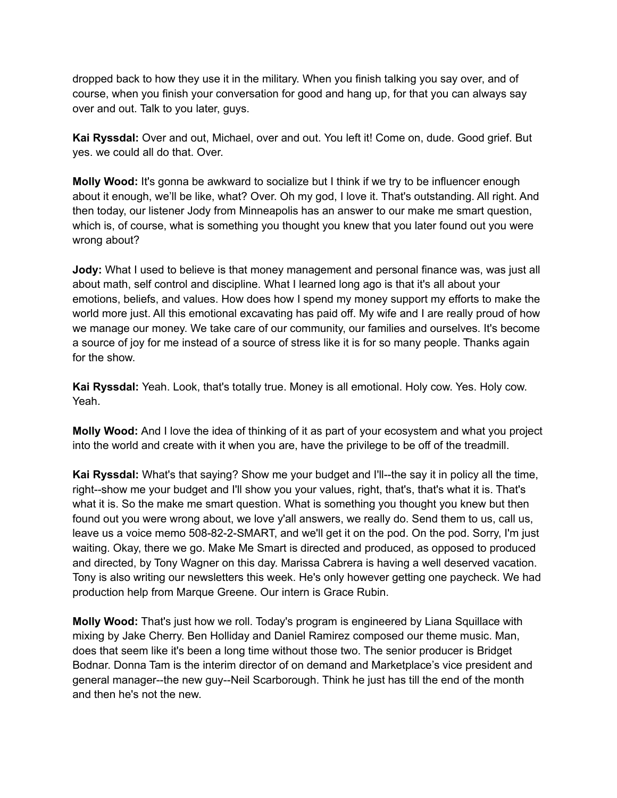dropped back to how they use it in the military. When you finish talking you say over, and of course, when you finish your conversation for good and hang up, for that you can always say over and out. Talk to you later, guys.

**Kai Ryssdal:** Over and out, Michael, over and out. You left it! Come on, dude. Good grief. But yes. we could all do that. Over.

**Molly Wood:** It's gonna be awkward to socialize but I think if we try to be influencer enough about it enough, we'll be like, what? Over. Oh my god, I love it. That's outstanding. All right. And then today, our listener Jody from Minneapolis has an answer to our make me smart question, which is, of course, what is something you thought you knew that you later found out you were wrong about?

**Jody:** What I used to believe is that money management and personal finance was, was just all about math, self control and discipline. What I learned long ago is that it's all about your emotions, beliefs, and values. How does how I spend my money support my efforts to make the world more just. All this emotional excavating has paid off. My wife and I are really proud of how we manage our money. We take care of our community, our families and ourselves. It's become a source of joy for me instead of a source of stress like it is for so many people. Thanks again for the show.

**Kai Ryssdal:** Yeah. Look, that's totally true. Money is all emotional. Holy cow. Yes. Holy cow. Yeah.

**Molly Wood:** And I love the idea of thinking of it as part of your ecosystem and what you project into the world and create with it when you are, have the privilege to be off of the treadmill.

**Kai Ryssdal:** What's that saying? Show me your budget and I'll--the say it in policy all the time, right--show me your budget and I'll show you your values, right, that's, that's what it is. That's what it is. So the make me smart question. What is something you thought you knew but then found out you were wrong about, we love y'all answers, we really do. Send them to us, call us, leave us a voice memo 508-82-2-SMART, and we'll get it on the pod. On the pod. Sorry, I'm just waiting. Okay, there we go. Make Me Smart is directed and produced, as opposed to produced and directed, by Tony Wagner on this day. Marissa Cabrera is having a well deserved vacation. Tony is also writing our newsletters this week. He's only however getting one paycheck. We had production help from Marque Greene. Our intern is Grace Rubin.

**Molly Wood:** That's just how we roll. Today's program is engineered by Liana Squillace with mixing by Jake Cherry. Ben Holliday and Daniel Ramirez composed our theme music. Man, does that seem like it's been a long time without those two. The senior producer is Bridget Bodnar. Donna Tam is the interim director of on demand and Marketplace's vice president and general manager--the new guy--Neil Scarborough. Think he just has till the end of the month and then he's not the new.